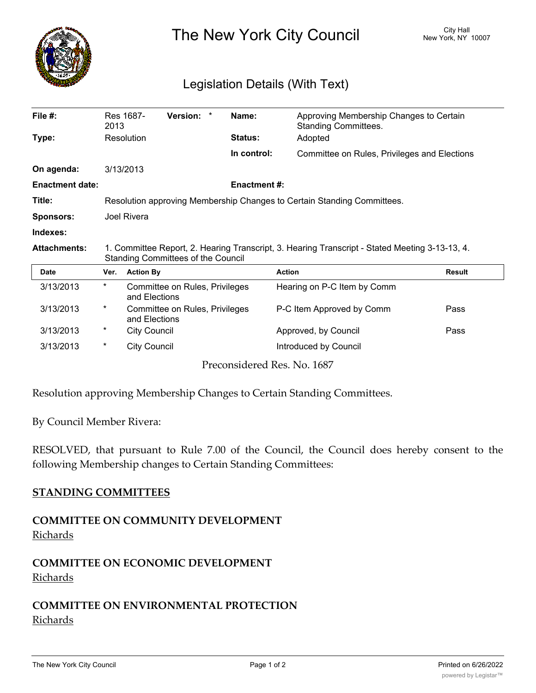

The New York City Council New York, NY 10007

## Legislation Details (With Text)

| File $#$ :             | 2013                                                                                                                                        | Res 1687-                                       | Version: * |  | Name:               | Approving Membership Changes to Certain<br><b>Standing Committees.</b> |               |
|------------------------|---------------------------------------------------------------------------------------------------------------------------------------------|-------------------------------------------------|------------|--|---------------------|------------------------------------------------------------------------|---------------|
| Type:                  |                                                                                                                                             | Resolution                                      |            |  | <b>Status:</b>      | Adopted                                                                |               |
|                        |                                                                                                                                             |                                                 |            |  | In control:         | Committee on Rules, Privileges and Elections                           |               |
| On agenda:             | 3/13/2013                                                                                                                                   |                                                 |            |  |                     |                                                                        |               |
| <b>Enactment date:</b> |                                                                                                                                             |                                                 |            |  | <b>Enactment #:</b> |                                                                        |               |
| Title:                 | Resolution approving Membership Changes to Certain Standing Committees.                                                                     |                                                 |            |  |                     |                                                                        |               |
| <b>Sponsors:</b>       | Joel Rivera                                                                                                                                 |                                                 |            |  |                     |                                                                        |               |
| Indexes:               |                                                                                                                                             |                                                 |            |  |                     |                                                                        |               |
| <b>Attachments:</b>    | 1. Committee Report, 2. Hearing Transcript, 3. Hearing Transcript - Stated Meeting 3-13-13, 4.<br><b>Standing Committees of the Council</b> |                                                 |            |  |                     |                                                                        |               |
| <b>Date</b>            | Ver.                                                                                                                                        | <b>Action By</b>                                |            |  | <b>Action</b>       |                                                                        | <b>Result</b> |
| 3/13/2013              | $\ast$                                                                                                                                      | Committee on Rules, Privileges<br>and Elections |            |  |                     | Hearing on P-C Item by Comm                                            |               |
|                        |                                                                                                                                             |                                                 |            |  |                     |                                                                        |               |
| 3/13/2013              | $\ast$                                                                                                                                      | Committee on Rules, Privileges<br>and Elections |            |  |                     | P-C Item Approved by Comm                                              | Pass          |
| 3/13/2013              | $^\star$                                                                                                                                    | <b>City Council</b>                             |            |  |                     | Approved, by Council                                                   | Pass          |
| 3/13/2013              | $\ast$                                                                                                                                      | <b>City Council</b>                             |            |  |                     | Introduced by Council                                                  |               |

Resolution approving Membership Changes to Certain Standing Committees.

By Council Member Rivera:

RESOLVED, that pursuant to Rule 7.00 of the Council, the Council does hereby consent to the following Membership changes to Certain Standing Committees:

## **STANDING COMMITTEES**

**COMMITTEE ON COMMUNITY DEVELOPMENT** Richards

**COMMITTEE ON ECONOMIC DEVELOPMENT** Richards

## **COMMITTEE ON ENVIRONMENTAL PROTECTION** Richards